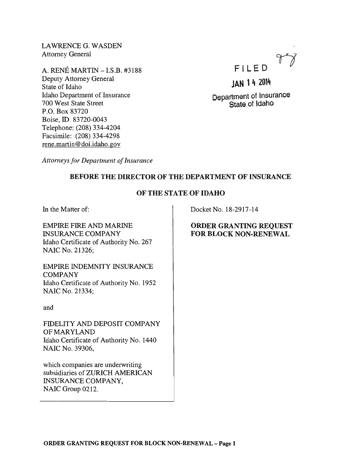LAWRENCE G. WASDEN Attorney General

A. RENE MARTIN -I.S.B. #3188 Deputy Attorney General State of Idaho Idaho Department of Insurance 700 West State Street P.O. Box 83720 Boise, ID 83720-0043 Telephone: (208) 334-4204 Facsimile: (208) 334-4298 rene.martin@doi.idaho.gov



# JAN 14 2014

Department of Insurance State of Idaho

*Attorneys for Department of Insurance* 

# BEFORE THE DIRECTOR OF THE DEPARTMENT OF INSURANCE

### OF THE STATE OF IDAHO

In the Matter of:

EMPIRE FIRE AND MARINE INSURANCE COMPANY Idaho Certificate of Authority No. 267 NAIC No. 21326;

EMPIRE INDEMNITY INSURANCE COMPANY Idaho Certificate of Authority No. 1952 NAIC No. 21334;

and

FIDELITY AND DEPOSIT COMPANY OF MARYLAND Idaho Certificate of Authority No. 1440 NAIC No. 39306,

which companies are underwriting subsidiaries of ZURICH AMERICAN INSURANCE COMPANY, NAIC Group 0212.

Docket No. 18-2917-14

# ORDER GRANTING REQUEST FOR BLOCK NON-RENEWAL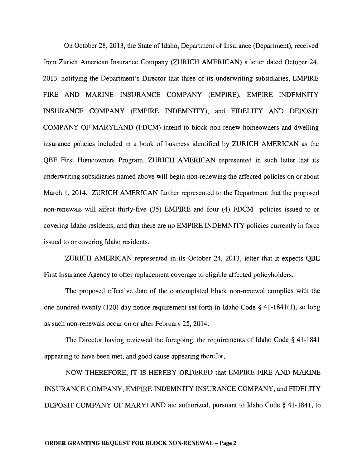On October 28,2013, the State of Idaho, Department of Insurance (Department), received from Zurich American Insurance Company (ZURICH AMERICAN) a letter dated October 24, 2013, notifying the Department's Director that three of its underwriting subsidiaries, EMPIRE FIRE AND MARINE INSURANCE COMPANY (EMPIRE), EMPIRE INDEMNITY INSURANCE COMPANY (EMPIRE INDEMNITY), and FIDELITY AND DEPOSIT COMPANY OF MARYLAND (FDCM) intend to block non-renew homeowners and dwelling insurance policies included in a book of business identified by ZURICH AMERICAN as the QBE First Homeowners Program. ZURICH AMERICAN represented in such letter that its underwriting subsidiaries named above will begin non-renewing the affected policies on or about March 1, 2014. ZURICH AMERICAN further represented to the Department that the proposed non-renewals will affect thirty-five (35) EMPIRE and four (4) FDCM policies issued to or covering Idaho residents, and that there are no EMPIRE INDEMNITY policies currently in force issued to or covering Idaho residents.

ZURICH AMERICAN represented in its October 24, 2013, letter that it expects QBE First Insurance Agency to offer replacement coverage to eligible affected policyholders.

The proposed effective date of the contemplated block non-renewal complies with the one hundred twenty (120) day notice requirement set forth in Idaho Code § 41-1841(1), so long as such non-renewals occur on or after February 25, 2014.

The Director having reviewed the foregoing, the requirements of Idaho Code § 41-1841 appearing to have been met, and good cause appearing therefor,

NOW THEREFORE, IT IS HEREBY ORDERED that EMPIRE FIRE AND MARINE INSURANCE COMPANY, EMPIRE INDEMNITY INSURANCE COMPANY, and FIDELITY DEPOSIT COMPANY OF MARYLAND are authorized, pursuant to Idaho Code § 41-1841, to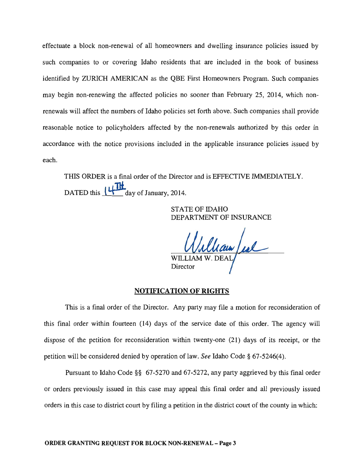effectuate a block non-renewal of all homeowners and dwelling insurance policies issued by such companies to or covering Idaho residents that are included in the book of business identified by ZURICH AMERICAN as the QBE First Homeowners Program. Such companies may begin non-renewing the affected policies no sooner than February 25, 2014, which nonrenewals will affect the numbers of Idaho policies set forth above. Such companies shall provide reasonable notice to policyholders affected by the non-renewals authorized by this order in accordance with the notice provisions included in the applicable insurance policies issued by each.

THIS ORDER is a final order of the Director and is EFFECTIVE IMMEDIATELY. DATED this  $\frac{1}{4}$  day of January, 2014.

> STATE OF IDAHO DEPARTMENT OF INSURANCE

William /

#### NOTIFICATION OF RIGHTS

This is a final order of the Director. Any party may file a motion for reconsideration of this final order within fourteen (14) days of the service date of this order. The agency will dispose of the petition for reconsideration within twenty-one (21) days of its receipt, or the petition will be considered denied by operation of law. *See* Idaho Code § 67-5246(4).

Pursuant to Idaho Code §§ 67-5270 and 67-5272, any party aggrieved by this final order or orders previously issued in this case may appeal this final order and all previously issued orders in this case to district court by filing a petition in the district court of the county in which: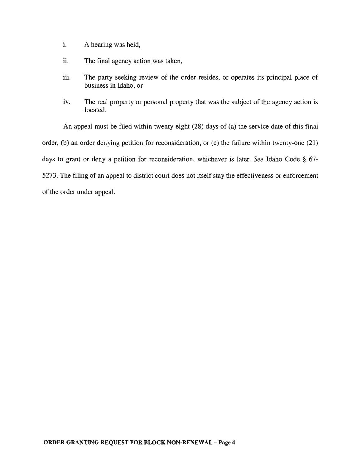- i. A hearing was held,
- ii. The final agency action was taken,
- iii. The party seeking review of the order resides, or operates its principal place of business in Idaho, or
- iv. The real property or personal property that was the subject of the agency action is located.

An appeal must be filed within twenty-eight (28) days of (a) the service date of this final order, (b) an order denying petition for reconsideration, or (c) the failure within twenty-one (21) days to grant or deny a petition for reconsideration, whichever is later. *See* Idaho Code § 67- 5273. The filing of an appeal to district court does not itself stay the effectiveness or enforcement of the order under appeal.